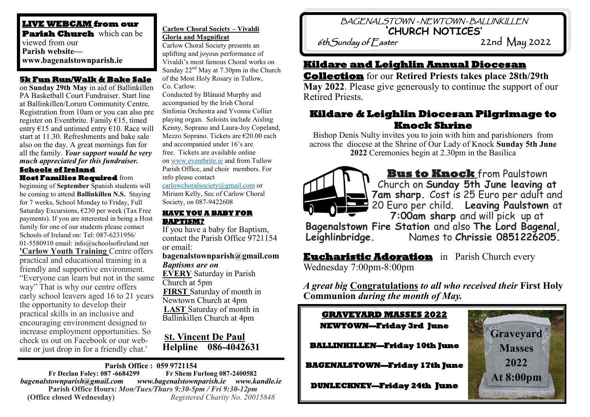#### **LIVE WEBCAM from our Parish Church** which can be viewed from our **Parish website www.bagenalstownparish.ie**

#### **5k Fun Run/Walk & Bake Sale**

on **Sunday 29th May** in aid of Ballinkillen PA Basketball Court Fundraiser. Start line at Ballinkillen/Lorum Community Centre. Registration from 10am or you can also pre register on Eventbrite. Family €15, timed entry  $\epsilon$ 15 and untimed entry  $\epsilon$ 10. Race will start at 11.30. Refreshments and bake sale also on the day. A great mornings fun for all the family. *Your support would be very much appreciated for this fundraiser.*

#### **Schools of Ireland Host Families Required** from

beginning of **September** Spanish students will be coming to attend **Ballinkillen N.S.** Staying for 7 weeks, School Monday to Friday, Full Saturday Excursions, €230 per week (Tax Free payments). If you are interested in being a Host family for one of our students please contact Schools of Ireland on: Tel: 087-6231956/ 01-5580910 email: info@schoolsofireland.net **'Carlow Youth Training** Centre offers practical and educational training in a friendly and supportive environment. "Everyone can learn but not in the same way" That is why our centre offers early school leavers aged 16 to 21 years the opportunity to develop their practical skills in an inclusive and encouraging environment designed to increase employment opportunities. So check us out on Facebook or our website or just drop in for a friendly chat.'

#### **Carlow Choral Society – Vivaldi Gloria and Magnificat**

Carlow Choral Society presents an uplifting and joyous performance of Vivaldi's most famous Choral works on Sunday  $22<sup>nd</sup>$  May at 7.30pm in the Church of the Most Holy Rosary in Tullow, Co. Carlow.

Conducted by Blánaid Murphy and accompanied by the Irish Choral Sinfonia Orchestra and Yvonne Collier playing organ. Soloists include Aisling Kenny, Soprano and Laura-Joy Copeland, Mezzo Soprano. Tickets are €20.00 each and accompanied under 16's are free. Tickets are available online on [www.eventbrite.ie](http://www.eventbrite.ie/) and from Tullow Parish Office, and choir members. For info please contact

[carlowchoralsociety@gmail.com](mailto:carlowchoralsociety@gmail.com) or Miriam Kelly, Sec of Carlow Choral Society, on 087-9422608

#### **HAVE YOU A BABY FOR BAPTISM?**

If you have a baby for Baptism, contact the Parish Office 9721154 or email: **bagenalstownparish@gmail.com**  *Baptisms are on* 

**EVERY** Saturday in Parish Church at 5pm **FIRST** Saturday of month in Newtown Church at 4pm **LAST** Saturday of month in Ballinkillen Church at 4pm

### **St. Vincent De Paul Helpline 086-4042631**

#### **Parish Office : 059 9721154 Fr Declan Foley: 087 -6684299**

*bagenalstownparish@gmail.com www.bagenalstownparish.ie www.kandle.ie* **Parish Office Hours:** *Mon/Tues/Thurs 9:30-5pm / Fri 9:30-12pm* **(Office closed Wednesday)** *Registered Charity No. 20015848*

# BAGENALSTOWN - NEWTOWN - BALLINKILLEN **'CHURCH NOTICES'**

 $6th$ Sunday of  $E$ aster

## **Kildare and Leighlin Annual Diocesan**

**Collection** for our **Retired Priests takes place 28th/29th May 2022**. Please give generously to continue the support of our Retired Priests.

## **Kildare & Leighlin Diocesan Pilgrimage to Knock Shrine**

Bishop Denis Nulty invites you to join with him and parishioners from across the diocese at the Shrine of Our Lady of Knock **Sunday 5th June 2022** Ceremonies begin at 2.30pm in the Basilica



**Bus to Knock** from Paulstown Church on **Sunday 5th June leaving at 7am sharp.** Cost is 25 Euro per adult and 20 Euro per child. **Leaving Paulstown** at **7:00am sharp** and will pick up at

**Bagenalstown Fire Station** and also **The Lord Bagenal, Leighlinbridge.** Names to **Chrissie 0851226205.**

**Eucharistic Adoration** in Parish Church every Wednesday 7:00pm-8:00pm

*A great big* **Congratulations** *to all who received their* **First Holy Communion** *during the month of May.* 

### **GRAVEYARD MASSES 2022 NEWTOWN—Friday 3rd June**

**BALLINKILLEN—Friday 10th June** 

**BAGENALSTOWN—Friday 17th June** 

**DUNLECKNEY—Friday 24th June**